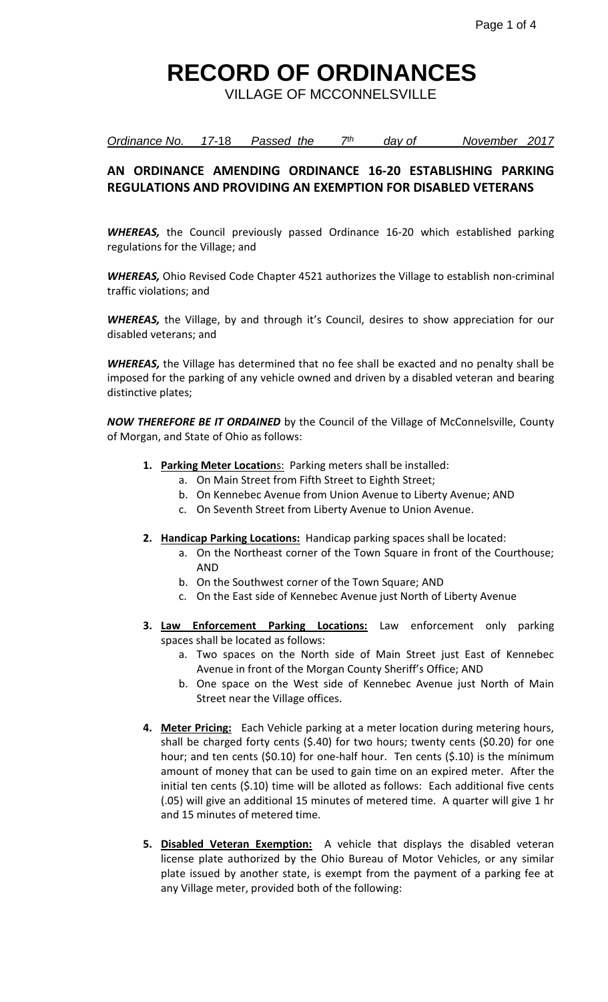VILLAGE OF MCCONNELSVILLE

| Ordinance No. | 17-18 | Passed the | day of | November 2017 |  |
|---------------|-------|------------|--------|---------------|--|
|               |       |            |        |               |  |

#### **AN ORDINANCE AMENDING ORDINANCE 16-20 ESTABLISHING PARKING REGULATIONS AND PROVIDING AN EXEMPTION FOR DISABLED VETERANS**

*WHEREAS,* the Council previously passed Ordinance 16-20 which established parking regulations for the Village; and

*WHEREAS,* Ohio Revised Code Chapter 4521 authorizes the Village to establish non-criminal traffic violations; and

*WHEREAS,* the Village, by and through it's Council, desires to show appreciation for our disabled veterans; and

*WHEREAS,* the Village has determined that no fee shall be exacted and no penalty shall be imposed for the parking of any vehicle owned and driven by a disabled veteran and bearing distinctive plates;

*NOW THEREFORE BE IT ORDAINED* by the Council of the Village of McConnelsville, County of Morgan, and State of Ohio as follows:

- **1. Parking Meter Location**s: Parking meters shall be installed:
	- a. On Main Street from Fifth Street to Eighth Street;
	- b. On Kennebec Avenue from Union Avenue to Liberty Avenue; AND
	- c. On Seventh Street from Liberty Avenue to Union Avenue.
- **2. Handicap Parking Locations:** Handicap parking spaces shall be located:
	- a. On the Northeast corner of the Town Square in front of the Courthouse; AND
	- b. On the Southwest corner of the Town Square; AND
	- c. On the East side of Kennebec Avenue just North of Liberty Avenue
- **3. Law Enforcement Parking Locations:** Law enforcement only parking spaces shall be located as follows:
	- a. Two spaces on the North side of Main Street just East of Kennebec Avenue in front of the Morgan County Sheriff's Office; AND
	- b. One space on the West side of Kennebec Avenue just North of Main Street near the Village offices.
- **4. Meter Pricing:** Each Vehicle parking at a meter location during metering hours, shall be charged forty cents (\$.40) for two hours; twenty cents (\$0.20) for one hour; and ten cents (\$0.10) for one-half hour. Ten cents (\$.10) is the mínimum amount of money that can be used to gain time on an expired meter. After the initial ten cents (\$.10) time will be alloted as follows: Each additional five cents (.05) will give an additional 15 minutes of metered time. A quarter will give 1 hr and 15 minutes of metered time.
- **5. Disabled Veteran Exemption:** A vehicle that displays the disabled veteran license plate authorized by the Ohio Bureau of Motor Vehicles, or any similar plate issued by another state, is exempt from the payment of a parking fee at any Village meter, provided both of the following: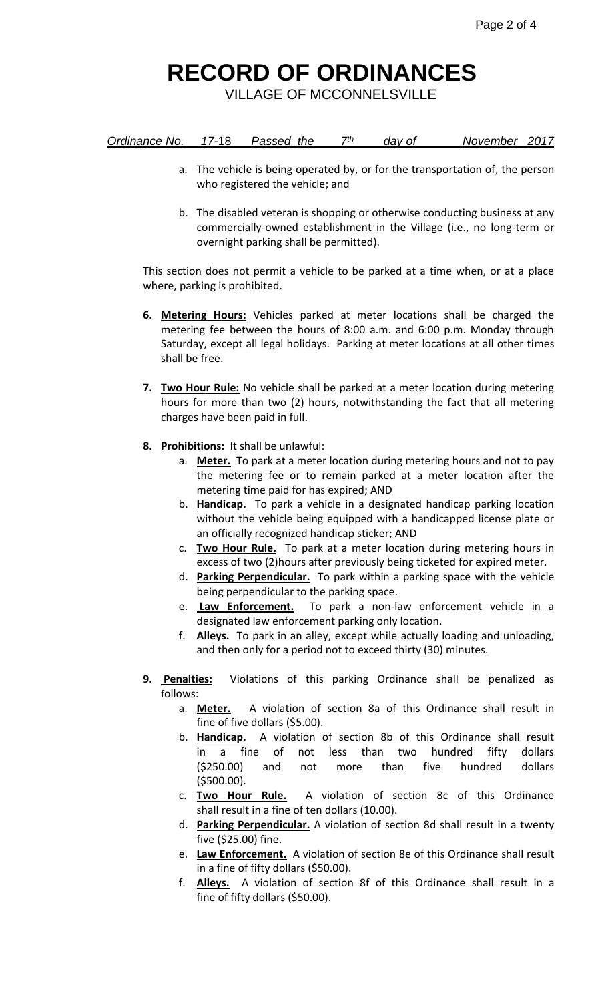VILLAGE OF MCCONNELSVILLE

| Ordinance No. | 17-18 | Passed the | 7th | dav of | November 2017 |  |
|---------------|-------|------------|-----|--------|---------------|--|
|               |       |            |     |        |               |  |

- a. The vehicle is being operated by, or for the transportation of, the person who registered the vehicle; and
- b. The disabled veteran is shopping or otherwise conducting business at any commercially-owned establishment in the Village (i.e., no long-term or overnight parking shall be permitted).

This section does not permit a vehicle to be parked at a time when, or at a place where, parking is prohibited.

- **6. Metering Hours:** Vehicles parked at meter locations shall be charged the metering fee between the hours of 8:00 a.m. and 6:00 p.m. Monday through Saturday, except all legal holidays. Parking at meter locations at all other times shall be free.
- **7. Two Hour Rule:** No vehicle shall be parked at a meter location during metering hours for more than two (2) hours, notwithstanding the fact that all metering charges have been paid in full.
- **8. Prohibitions:** It shall be unlawful:
	- a. **Meter.** To park at a meter location during metering hours and not to pay the metering fee or to remain parked at a meter location after the metering time paid for has expired; AND
	- b. **Handicap.** To park a vehicle in a designated handicap parking location without the vehicle being equipped with a handicapped license plate or an officially recognized handicap sticker; AND
	- c. **Two Hour Rule.** To park at a meter location during metering hours in excess of two (2)hours after previously being ticketed for expired meter.
	- d. **Parking Perpendicular.** To park within a parking space with the vehicle being perpendicular to the parking space.
	- e. **Law Enforcement.** To park a non-law enforcement vehicle in a designated law enforcement parking only location.
	- f. **Alleys.** To park in an alley, except while actually loading and unloading, and then only for a period not to exceed thirty (30) minutes.
- **9. Penalties:** Violations of this parking Ordinance shall be penalized as follows:
	- a. **Meter.** A violation of section 8a of this Ordinance shall result in fine of five dollars (\$5.00).
	- b. **Handicap.** A violation of section 8b of this Ordinance shall result in a fine of not less than two hundred fifty dollars (\$250.00) and not more than five hundred dollars (\$500.00).
	- c. **Two Hour Rule.** A violation of section 8c of this Ordinance shall result in a fine of ten dollars (10.00).
	- d. **Parking Perpendicular.** A violation of section 8d shall result in a twenty five (\$25.00) fine.
	- e. **Law Enforcement.** A violation of section 8e of this Ordinance shall result in a fine of fifty dollars (\$50.00).
	- f. **Alleys.** A violation of section 8f of this Ordinance shall result in a fine of fifty dollars (\$50.00).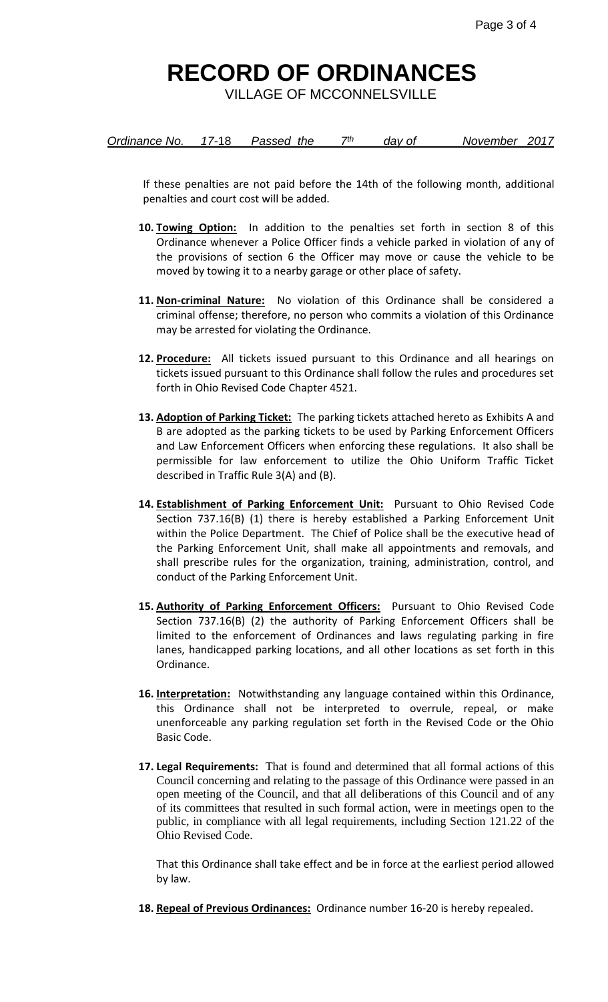VILLAGE OF MCCONNELSVILLE

| Ordinance No. | $17 - 18$ | Passed the | 7th | day of | November 2017 |  |
|---------------|-----------|------------|-----|--------|---------------|--|
|               |           |            |     |        |               |  |

If these penalties are not paid before the 14th of the following month, additional penalties and court cost will be added.

- **10. Towing Option:** In addition to the penalties set forth in section 8 of this Ordinance whenever a Police Officer finds a vehicle parked in violation of any of the provisions of section 6 the Officer may move or cause the vehicle to be moved by towing it to a nearby garage or other place of safety.
- **11. Non-criminal Nature:** No violation of this Ordinance shall be considered a criminal offense; therefore, no person who commits a violation of this Ordinance may be arrested for violating the Ordinance.
- **12. Procedure:** All tickets issued pursuant to this Ordinance and all hearings on tickets issued pursuant to this Ordinance shall follow the rules and procedures set forth in Ohio Revised Code Chapter 4521.
- **13. Adoption of Parking Ticket:** The parking tickets attached hereto as Exhibits A and B are adopted as the parking tickets to be used by Parking Enforcement Officers and Law Enforcement Officers when enforcing these regulations. It also shall be permissible for law enforcement to utilize the Ohio Uniform Traffic Ticket described in Traffic Rule 3(A) and (B).
- **14. Establishment of Parking Enforcement Unit:** Pursuant to Ohio Revised Code Section 737.16(B) (1) there is hereby established a Parking Enforcement Unit within the Police Department. The Chief of Police shall be the executive head of the Parking Enforcement Unit, shall make all appointments and removals, and shall prescribe rules for the organization, training, administration, control, and conduct of the Parking Enforcement Unit.
- **15. Authority of Parking Enforcement Officers:** Pursuant to Ohio Revised Code Section 737.16(B) (2) the authority of Parking Enforcement Officers shall be limited to the enforcement of Ordinances and laws regulating parking in fire lanes, handicapped parking locations, and all other locations as set forth in this Ordinance.
- **16. Interpretation:** Notwithstanding any language contained within this Ordinance, this Ordinance shall not be interpreted to overrule, repeal, or make unenforceable any parking regulation set forth in the Revised Code or the Ohio Basic Code.
- **17. Legal Requirements:** That is found and determined that all formal actions of this Council concerning and relating to the passage of this Ordinance were passed in an open meeting of the Council, and that all deliberations of this Council and of any of its committees that resulted in such formal action, were in meetings open to the public, in compliance with all legal requirements, including Section 121.22 of the Ohio Revised Code.

That this Ordinance shall take effect and be in force at the earliest period allowed by law.

**18. Repeal of Previous Ordinances:** Ordinance number 16-20 is hereby repealed.